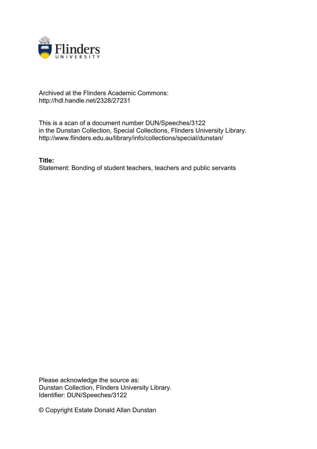

## Archived at the Flinders Academic Commons: http://hdl.handle.net/2328/27231

This is a scan of a document number DUN/Speeches/3122 in the Dunstan Collection, Special Collections, Flinders University Library. http://www.flinders.edu.au/library/info/collections/special/dunstan/

**Title:** Statement: Bonding of student teachers, teachers and public servants

Please acknowledge the source as: Dunstan Collection, Flinders University Library. Identifier: DUN/Speeches/3122

© Copyright Estate Donald Allan Dunstan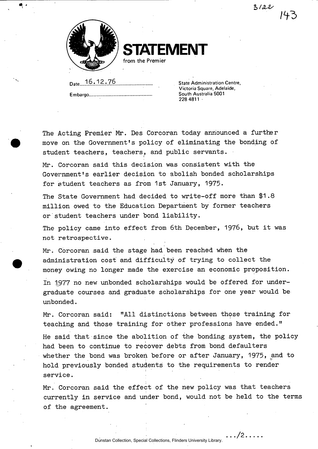$3/22$ 



**STATEMENT** 

**from the Premier** 

Date**.j6,12,76** State Administration Centre, Embargo,

Victoria Square, Adelaide, South Australia 5001 228 4811 -

**The Acting Premier Mr. Des Corcoran today announced a further move on the Government's policy of eliminating the bonding of student teachers, teachers, and public servants.** 

**Mr. Corcoran said this decision was consistent with the Government's earlier decision to abolish bonded scholarships for student teachers as from 1st January, 1975.** 

**The State Government had decided to write-off more than \$1.8 million owed to the Education Department by former teachers or student teachers under bond liability.** 

**The policy came into effect from 6th December, 1976, but it was not retrospective.** 

**Mr. Corcoran said the stage had been reached when the administration cost and difficulty of trying to collect the money owing no longer made the exercise an economic proposition.** 

**In 1;977 no new unbonded scholarships would be offered for undergraduate courses and graduate scholarships for one year would be unbonded.** 

**Mr. Corcoran said: "All distinctions between those training for teaching and those training for other professions have ended."** 

**He said that since the abolition of the bonding system, the policy had been to continue to recover debts from bond defaulters whether the bond was broken before or after January, 1975, and to hold previously bonded students to the requirements to render service.** 

**Mr. Corcoran said the effect of the new policy was that teachers currently in service and under bond, would not be held to the terms of the agreement.** 

. . . /2. . . . .